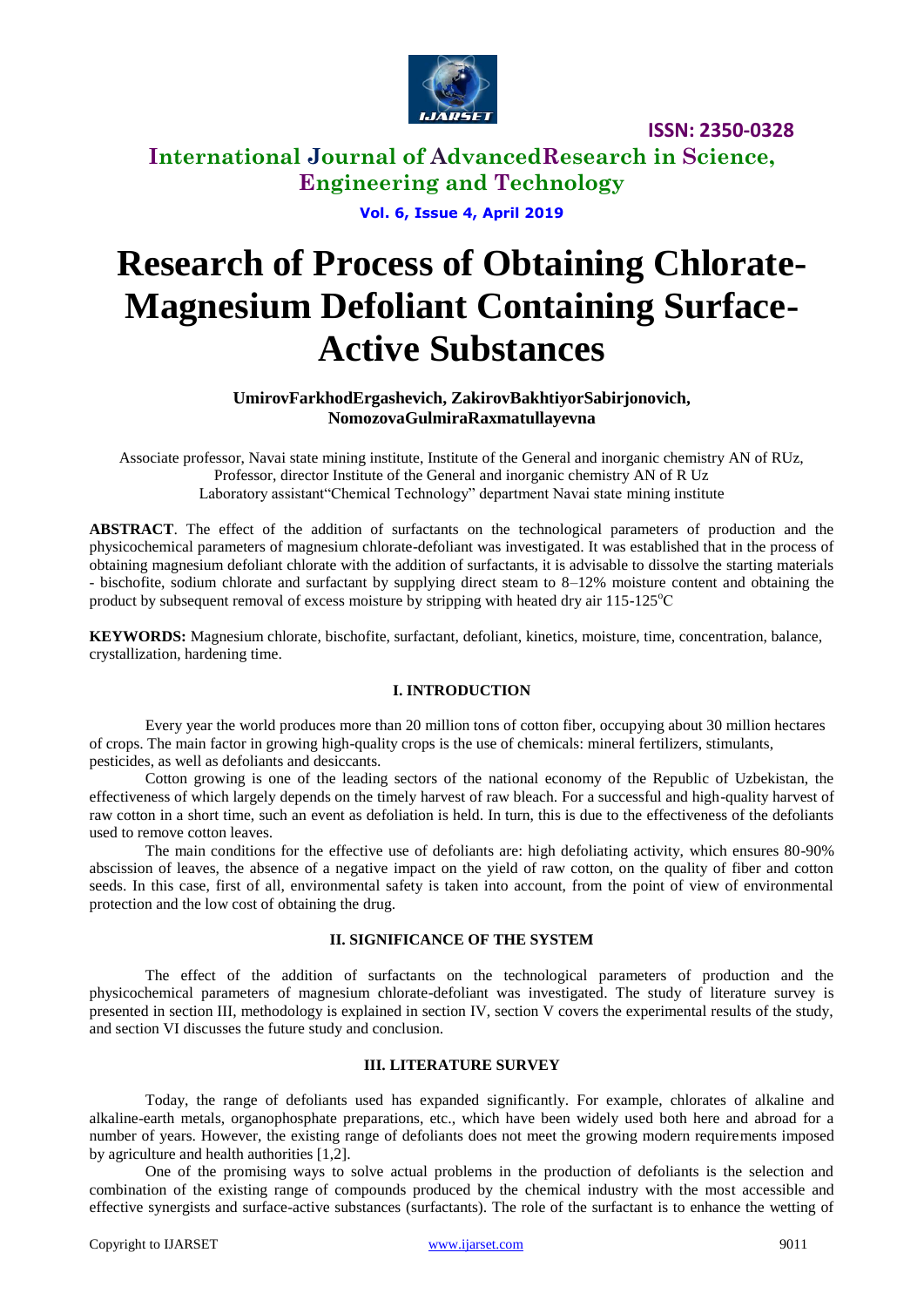

**International Journal of AdvancedResearch in Science, Engineering and Technology**

**Vol. 6, Issue 4, April 2019**

# **Research of Process of Obtaining Chlorate-Magnesium Defoliant Containing Surface-Active Substances**

**UmirovFarkhodErgashevich, ZakirovBakhtiyorSabirjonovich, NomozovaGulmiraRaxmatullayevna**

Associate professor, Navai state mining institute, Institute of the General and inorganic chemistry AN of RUz, Professor, director Institute of the General and inorganic chemistry AN of R Uz Laboratory assistant"Chemical Technology" department Navai state mining institute

**ABSTRACT**. The effect of the addition of surfactants on the technological parameters of production and the physicochemical parameters of magnesium chlorate-defoliant was investigated. It was established that in the process of obtaining magnesium defoliant chlorate with the addition of surfactants, it is advisable to dissolve the starting materials - bischofite, sodium chlorate and surfactant by supplying direct steam to 8–12% moisture content and obtaining the product by subsequent removal of excess moisture by stripping with heated dry air  $115$ - $125^{\circ}$ C

**KEYWORDS:** Magnesium chlorate, bischofite, surfactant, defoliant, kinetics, moisture, time, concentration, balance, crystallization, hardening time.

### **I. INTRODUCTION**

Every year the world produces more than 20 million tons of cotton fiber, occupying about 30 million hectares of crops. The main factor in growing high-quality crops is the use of chemicals: mineral fertilizers, stimulants, pesticides, as well as defoliants and desiccants.

Cotton growing is one of the leading sectors of the national economy of the Republic of Uzbekistan, the effectiveness of which largely depends on the timely harvest of raw bleach. For a successful and high-quality harvest of raw cotton in a short time, such an event as defoliation is held. In turn, this is due to the effectiveness of the defoliants used to remove cotton leaves.

The main conditions for the effective use of defoliants are: high defoliating activity, which ensures 80-90% abscission of leaves, the absence of a negative impact on the yield of raw cotton, on the quality of fiber and cotton seeds. In this case, first of all, environmental safety is taken into account, from the point of view of environmental protection and the low cost of obtaining the drug.

#### **II. SIGNIFICANCE OF THE SYSTEM**

The effect of the addition of surfactants on the technological parameters of production and the physicochemical parameters of magnesium chlorate-defoliant was investigated. The study of literature survey is presented in section III, methodology is explained in section IV, section V covers the experimental results of the study, and section VI discusses the future study and conclusion.

### **III. LITERATURE SURVEY**

Today, the range of defoliants used has expanded significantly. For example, chlorates of alkaline and alkaline-earth metals, organophosphate preparations, etc., which have been widely used both here and abroad for a number of years. However, the existing range of defoliants does not meet the growing modern requirements imposed by agriculture and health authorities [1,2].

One of the promising ways to solve actual problems in the production of defoliants is the selection and combination of the existing range of compounds produced by the chemical industry with the most accessible and effective synergists and surface-active substances (surfactants). The role of the surfactant is to enhance the wetting of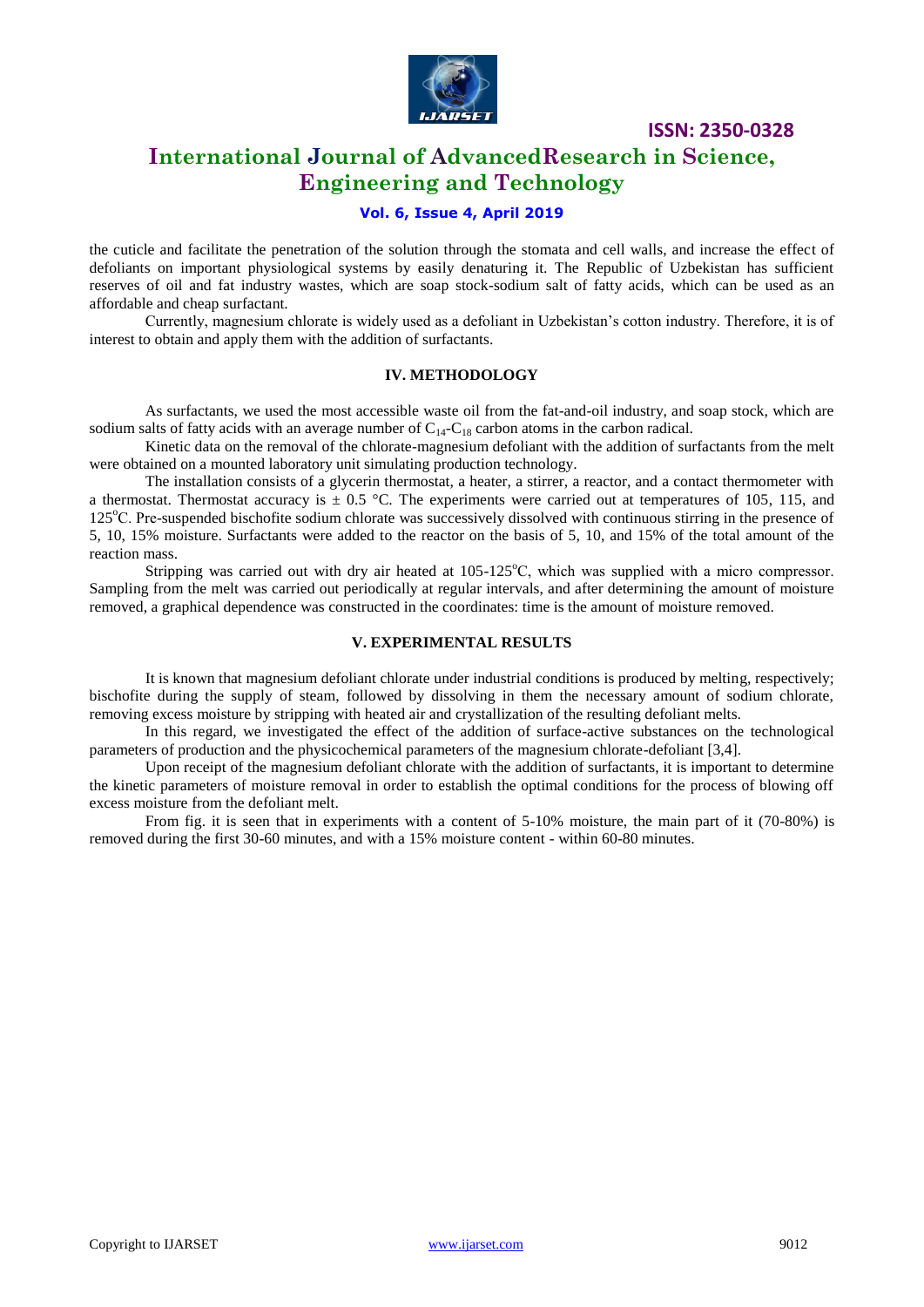

# **International Journal of AdvancedResearch in Science, Engineering and Technology**

### **Vol. 6, Issue 4, April 2019**

the cuticle and facilitate the penetration of the solution through the stomata and cell walls, and increase the effect of defoliants on important physiological systems by easily denaturing it. The Republic of Uzbekistan has sufficient reserves of oil and fat industry wastes, which are soap stock-sodium salt of fatty acids, which can be used as an affordable and cheap surfactant.

Currently, magnesium chlorate is widely used as a defoliant in Uzbekistan's cotton industry. Therefore, it is of interest to obtain and apply them with the addition of surfactants.

#### **IV. METHODOLOGY**

As surfactants, we used the most accessible waste oil from the fat-and-oil industry, and soap stock, which are sodium salts of fatty acids with an average number of  $C_{14}-C_{18}$  carbon atoms in the carbon radical.

Kinetic data on the removal of the chlorate-magnesium defoliant with the addition of surfactants from the melt were obtained on a mounted laboratory unit simulating production technology.

The installation consists of a glycerin thermostat, a heater, a stirrer, a reactor, and a contact thermometer with a thermostat. Thermostat accuracy is  $\pm$  0.5 °C. The experiments were carried out at temperatures of 105, 115, and 125<sup>o</sup>C. Pre-suspended bischofite sodium chlorate was successively dissolved with continuous stirring in the presence of 5, 10, 15% moisture. Surfactants were added to the reactor on the basis of 5, 10, and 15% of the total amount of the reaction mass.

Stripping was carried out with dry air heated at  $105-125^{\circ}$ C, which was supplied with a micro compressor. Sampling from the melt was carried out periodically at regular intervals, and after determining the amount of moisture removed, a graphical dependence was constructed in the coordinates: time is the amount of moisture removed.

### **V. EXPERIMENTAL RESULTS**

It is known that magnesium defoliant chlorate under industrial conditions is produced by melting, respectively; bischofite during the supply of steam, followed by dissolving in them the necessary amount of sodium chlorate, removing excess moisture by stripping with heated air and crystallization of the resulting defoliant melts.

In this regard, we investigated the effect of the addition of surface-active substances on the technological parameters of production and the physicochemical parameters of the magnesium chlorate-defoliant [3,4].

Upon receipt of the magnesium defoliant chlorate with the addition of surfactants, it is important to determine the kinetic parameters of moisture removal in order to establish the optimal conditions for the process of blowing off excess moisture from the defoliant melt.

From fig. it is seen that in experiments with a content of 5-10% moisture, the main part of it (70-80%) is removed during the first 30-60 minutes, and with a 15% moisture content - within 60-80 minutes.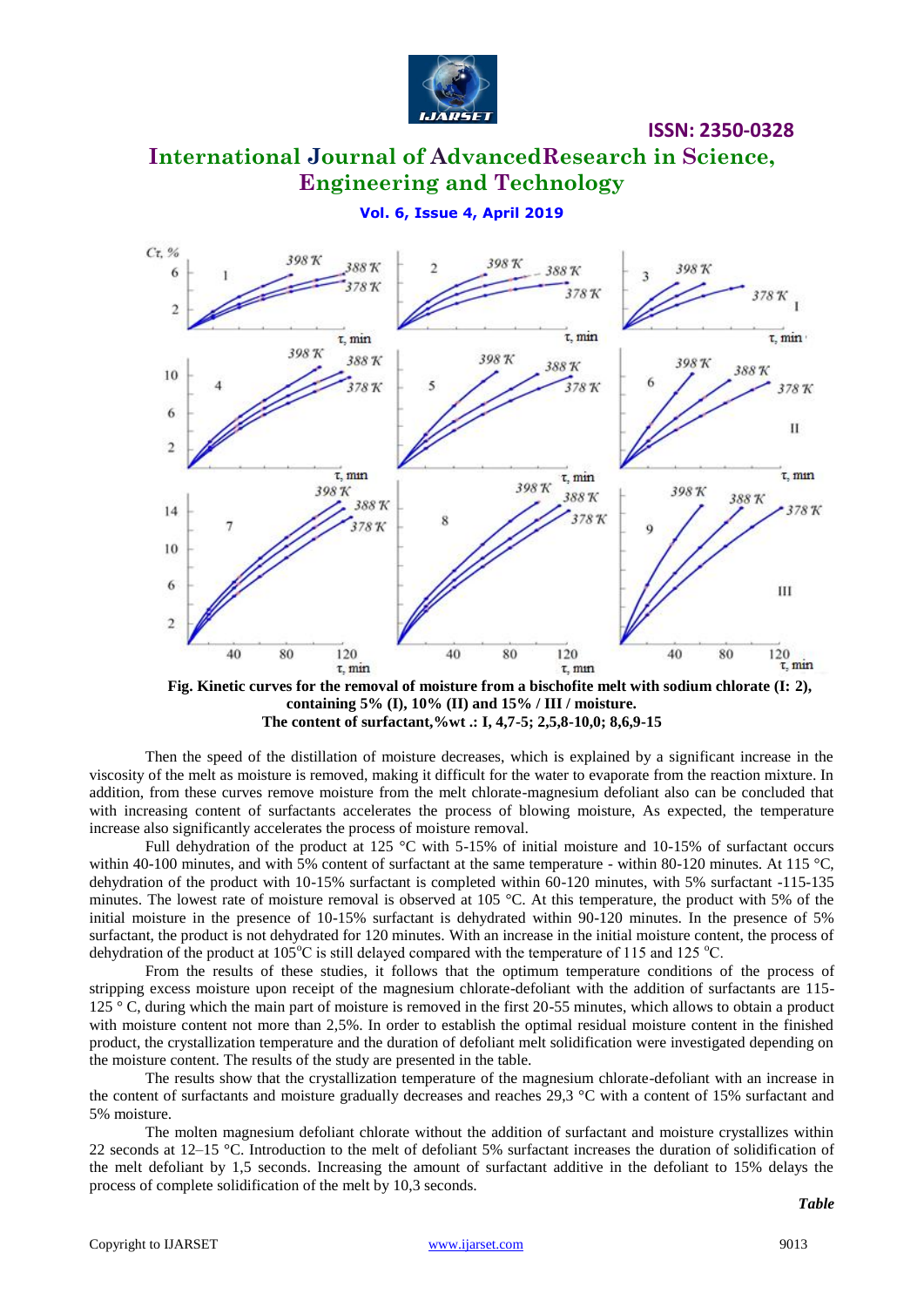

# **International Journal of AdvancedResearch in Science, Engineering and Technology**

**Vol. 6, Issue 4, April 2019**



**Fig. Kinetic curves for the removal of moisture from a bischofite melt with sodium chlorate (I: 2), containing 5% (I), 10% (II) and 15% / III / moisture. The content of surfactant,%wt .: I, 4,7-5; 2,5,8-10,0; 8,6,9-15**

Then the speed of the distillation of moisture decreases, which is explained by a significant increase in the viscosity of the melt as moisture is removed, making it difficult for the water to evaporate from the reaction mixture. In addition, from these curves remove moisture from the melt chlorate-magnesium defoliant also can be concluded that with increasing content of surfactants accelerates the process of blowing moisture, As expected, the temperature increase also significantly accelerates the process of moisture removal.

Full dehydration of the product at 125 °C with 5-15% of initial moisture and 10-15% of surfactant occurs within 40-100 minutes, and with 5% content of surfactant at the same temperature - within 80-120 minutes. At 115 °C, dehydration of the product with 10-15% surfactant is completed within 60-120 minutes, with 5% surfactant -115-135 minutes. The lowest rate of moisture removal is observed at 105 °C. At this temperature, the product with 5% of the initial moisture in the presence of 10-15% surfactant is dehydrated within 90-120 minutes. In the presence of 5% surfactant, the product is not dehydrated for 120 minutes. With an increase in the initial moisture content, the process of dehydration of the product at  $105^{\circ}$ C is still delayed compared with the temperature of 115 and 125  $^{\circ}$ C.

From the results of these studies, it follows that the optimum temperature conditions of the process of stripping excess moisture upon receipt of the magnesium chlorate-defoliant with the addition of surfactants are 115- 125 ° C, during which the main part of moisture is removed in the first 20-55 minutes, which allows to obtain a product with moisture content not more than 2,5%. In order to establish the optimal residual moisture content in the finished product, the crystallization temperature and the duration of defoliant melt solidification were investigated depending on the moisture content. The results of the study are presented in the table.

The results show that the crystallization temperature of the magnesium chlorate-defoliant with an increase in the content of surfactants and moisture gradually decreases and reaches 29,3 °C with a content of 15% surfactant and 5% moisture.

The molten magnesium defoliant chlorate without the addition of surfactant and moisture crystallizes within 22 seconds at  $12-15$  °C. Introduction to the melt of defoliant 5% surfactant increases the duration of solidification of the melt defoliant by 1,5 seconds. Increasing the amount of surfactant additive in the defoliant to 15% delays the process of complete solidification of the melt by 10,3 seconds.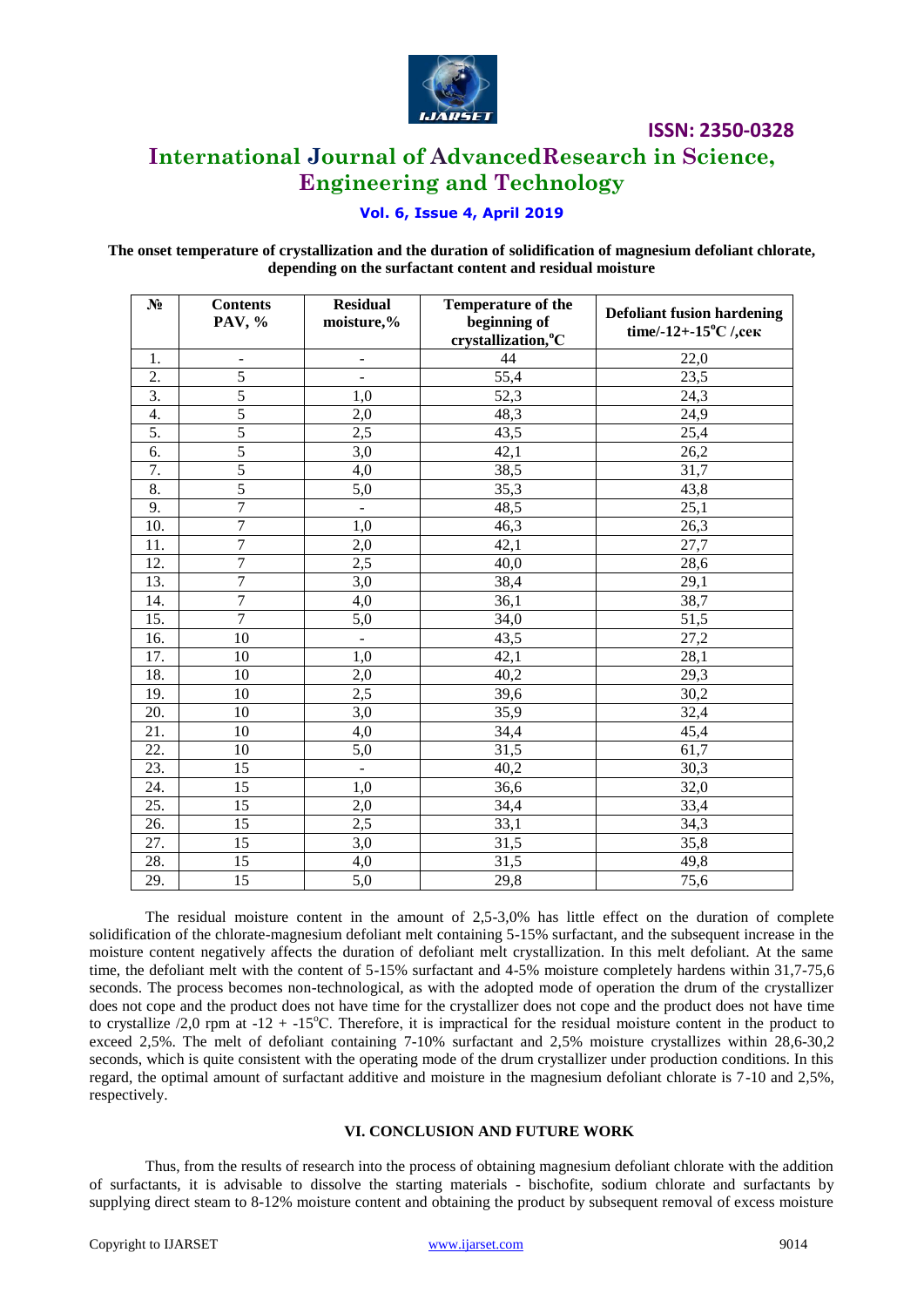

## **International Journal of AdvancedResearch in Science, Engineering and Technology**

### **Vol. 6, Issue 4, April 2019**

### The onset temperature of crystallization and the duration of solidification of magnesium defoliant chlorate, depending on the surfactant content and residual moisture

| $N_2$            | <b>Contents</b><br>PAV, %    | <b>Residual</b><br>moisture,% | <b>Temperature of the</b><br>beginning of<br>crystallization, °C | <b>Defoliant fusion hardening</b><br>time/-12+-15 $\rm{^{\circ}C}$ /, cek |
|------------------|------------------------------|-------------------------------|------------------------------------------------------------------|---------------------------------------------------------------------------|
| 1.               | $\qquad \qquad \blacksquare$ | $\overline{\phantom{0}}$      | 44                                                               | 22,0                                                                      |
| 2.               | $\overline{5}$               | $\overline{a}$                | 55,4                                                             | 23,5                                                                      |
| 3.               | $\overline{5}$               | 1,0                           | 52,3                                                             | 24,3                                                                      |
| $\overline{4}$ . | $\overline{5}$               | 2,0                           | 48,3                                                             | 24,9                                                                      |
| 5.               | $\overline{5}$               | 2,5                           | 43,5                                                             | 25,4                                                                      |
| 6.               | 5                            | 3,0                           | 42,1                                                             | 26,2                                                                      |
| 7.               | 5                            | 4,0                           | 38,5                                                             | 31,7                                                                      |
| 8.               | $\overline{5}$               | 5,0                           | 35,3                                                             | 43,8                                                                      |
| 9.               | $\overline{7}$               | $\blacksquare$                | 48,5                                                             | 25,1                                                                      |
| 10.              | 7                            | 1,0                           | 46,3                                                             | 26,3                                                                      |
| 11.              | $\overline{7}$               | 2,0                           | 42,1                                                             | 27,7                                                                      |
| 12.              | $\overline{7}$               | $\overline{2,5}$              | 40,0                                                             | 28,6                                                                      |
| 13.              | $\overline{7}$               | 3,0                           | 38,4                                                             | 29,1                                                                      |
| 14.              | $\overline{7}$               | 4,0                           | 36,1                                                             | 38,7                                                                      |
| 15.              | $\overline{7}$               | $\overline{5,0}$              | 34,0                                                             | 51,5                                                                      |
| 16.              | 10                           | $\frac{1}{2}$                 | 43,5                                                             | 27,2                                                                      |
| 17.              | 10                           | 1,0                           | 42,1                                                             | 28,1                                                                      |
| 18.              | 10                           | 2,0                           | 40,2                                                             | 29,3                                                                      |
| 19.              | 10                           | 2,5                           | 39,6                                                             | 30,2                                                                      |
| 20.              | 10                           | 3,0                           | $\overline{35,9}$                                                | 32,4                                                                      |
| 21.              | 10                           | 4,0                           | 34,4                                                             | 45,4                                                                      |
| 22.              | 10                           | 5,0                           | 31,5                                                             | 61,7                                                                      |
| 23.              | 15                           | $\frac{1}{2}$                 | 40,2                                                             | 30,3                                                                      |
| 24.              | 15                           | 1,0                           | 36,6                                                             | 32,0                                                                      |
| 25.              | 15                           | 2,0                           | 34,4                                                             | 33,4                                                                      |
| 26.              | 15                           | 2,5                           | $\overline{33,1}$                                                | 34,3                                                                      |
| 27.              | $\overline{15}$              | 3,0                           | 31,5                                                             | 35,8                                                                      |
| 28.              | 15                           | 4,0                           | 31,5                                                             | 49,8                                                                      |
| 29.              | 15                           | 5,0                           | 29,8                                                             | 75,6                                                                      |

The residual moisture content in the amount of  $2,5-3,0\%$  has little effect on the duration of complete solidification of the chlorate-magnesium defoliant melt containing 5-15% surfactant, and the subsequent increase in the moisture content negatively affects the duration of defoliant melt crystallization. In this melt defoliant. At the same time, the defoliant melt with the content of 5-15% surfactant and 4-5% moisture completely hardens within 31,7-75,6 seconds. The process becomes non-technological, as with the adopted mode of operation the drum of the crystallizer does not cope and the product does not have time for the crystallizer does not cope and the product does not have time to crystallize /2.0 rpm at  $-12 + -15$ °C. Therefore, it is impractical for the residual moisture content in the product to exceed 2,5%. The melt of defoliant containing 7-10% surfactant and 2,5% moisture crystallizes within 28,6-30,2 seconds, which is quite consistent with the operating mode of the drum crystallizer under production conditions. In this regard, the optimal amount of surfactant additive and moisture in the magnesium defoliant chlorate is 7-10 and 2,5%, respectively.

### VI. CONCLUSION AND FUTURE WORK

Thus, from the results of research into the process of obtaining magnesium defoliant chlorate with the addition of surfactants, it is advisable to dissolve the starting materials - bischofite, sodium chlorate and surfactants by supplying direct steam to 8-12% moisture content and obtaining the product by subsequent removal of excess moisture